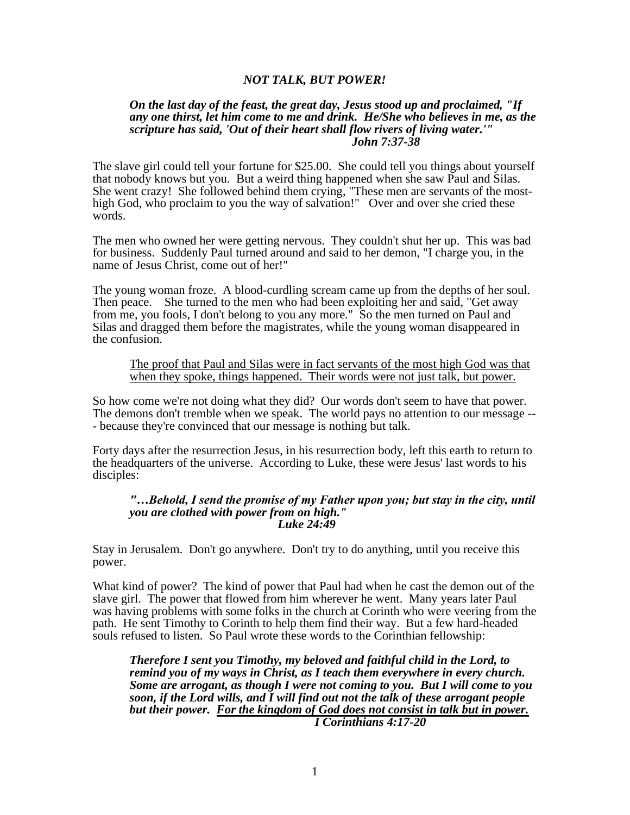# *NOT TALK, BUT POWER!*

### *On the last day of the feast, the great day, Jesus stood up and proclaimed, "If any one thirst, let him come to me and drink. He/She who believes in me, as the scripture has said, 'Out of their heart shall flow rivers of living water.'" John 7:37-38*

The slave girl could tell your fortune for \$25.00. She could tell you things about yourself that nobody knows but you. But a weird thing happened when she saw Paul and Silas. She went crazy! She followed behind them crying, "These men are servants of the mosthigh God, who proclaim to you the way of salvation!" Over and over she cried these words.

The men who owned her were getting nervous. They couldn't shut her up. This was bad for business. Suddenly Paul turned around and said to her demon, "I charge you, in the name of Jesus Christ, come out of her!"

The young woman froze. A blood-curdling scream came up from the depths of her soul. Then peace. She turned to the men who had been exploiting her and said, "Get away from me, you fools, I don't belong to you any more." So the men turned on Paul and Silas and dragged them before the magistrates, while the young woman disappeared in the confusion.

### The proof that Paul and Silas were in fact servants of the most high God was that when they spoke, things happened. Their words were not just talk, but power.

So how come we're not doing what they did? Our words don't seem to have that power. The demons don't tremble when we speak. The world pays no attention to our message -- - because they're convinced that our message is nothing but talk.

Forty days after the resurrection Jesus, in his resurrection body, left this earth to return to the headquarters of the universe. According to Luke, these were Jesus' last words to his disciples:

#### *"…Behold, I send the promise of my Father upon you; but stay in the city, until you are clothed with power from on high." Luke 24:49*

Stay in Jerusalem. Don't go anywhere. Don't try to do anything, until you receive this power.

What kind of power? The kind of power that Paul had when he cast the demon out of the slave girl. The power that flowed from him wherever he went. Many years later Paul was having problems with some folks in the church at Corinth who were veering from the path. He sent Timothy to Corinth to help them find their way. But a few hard-headed souls refused to listen. So Paul wrote these words to the Corinthian fellowship:

*Therefore I sent you Timothy, my beloved and faithful child in the Lord, to remind you of my ways in Christ, as I teach them everywhere in every church. Some are arrogant, as though I were not coming to you. But I will come to you soon, if the Lord wills, and I will find out not the talk of these arrogant people but their power. For the kingdom of God does not consist in talk but in power. I Corinthians 4:17-20*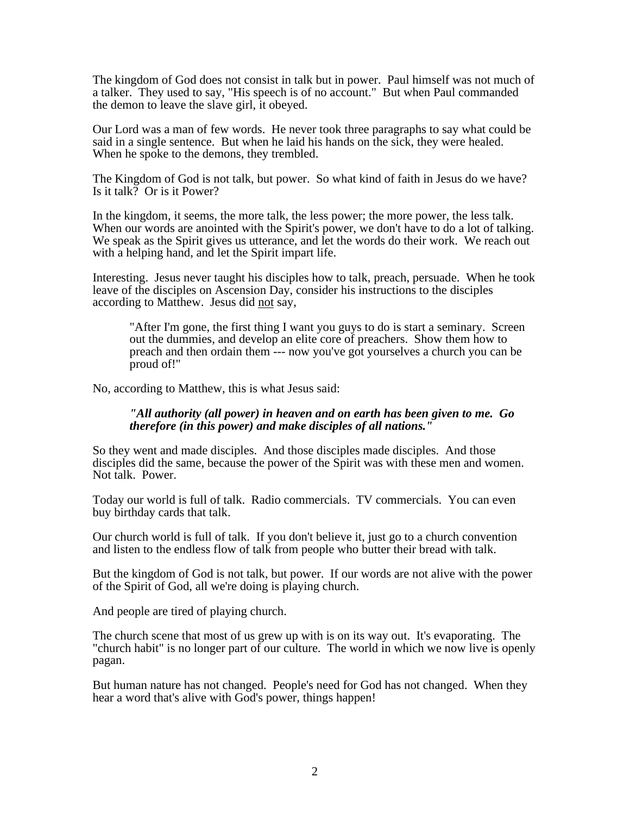The kingdom of God does not consist in talk but in power. Paul himself was not much of a talker. They used to say, "His speech is of no account." But when Paul commanded the demon to leave the slave girl, it obeyed.

Our Lord was a man of few words. He never took three paragraphs to say what could be said in a single sentence. But when he laid his hands on the sick, they were healed. When he spoke to the demons, they trembled.

The Kingdom of God is not talk, but power. So what kind of faith in Jesus do we have? Is it talk? Or is it Power?

In the kingdom, it seems, the more talk, the less power; the more power, the less talk. When our words are anointed with the Spirit's power, we don't have to do a lot of talking. We speak as the Spirit gives us utterance, and let the words do their work. We reach out with a helping hand, and let the Spirit impart life.

Interesting. Jesus never taught his disciples how to talk, preach, persuade. When he took leave of the disciples on Ascension Day, consider his instructions to the disciples according to Matthew. Jesus did not say,

"After I'm gone, the first thing I want you guys to do is start a seminary. Screen out the dummies, and develop an elite core of preachers. Show them how to preach and then ordain them --- now you've got yourselves a church you can be proud of!"

No, according to Matthew, this is what Jesus said:

## *"All authority (all power) in heaven and on earth has been given to me. Go therefore (in this power) and make disciples of all nations."*

So they went and made disciples. And those disciples made disciples. And those disciples did the same, because the power of the Spirit was with these men and women. Not talk. Power.

Today our world is full of talk. Radio commercials. TV commercials. You can even buy birthday cards that talk.

Our church world is full of talk. If you don't believe it, just go to a church convention and listen to the endless flow of talk from people who butter their bread with talk.

But the kingdom of God is not talk, but power. If our words are not alive with the power of the Spirit of God, all we're doing is playing church.

And people are tired of playing church.

The church scene that most of us grew up with is on its way out. It's evaporating. The "church habit" is no longer part of our culture. The world in which we now live is openly pagan.

But human nature has not changed. People's need for God has not changed. When they hear a word that's alive with God's power, things happen!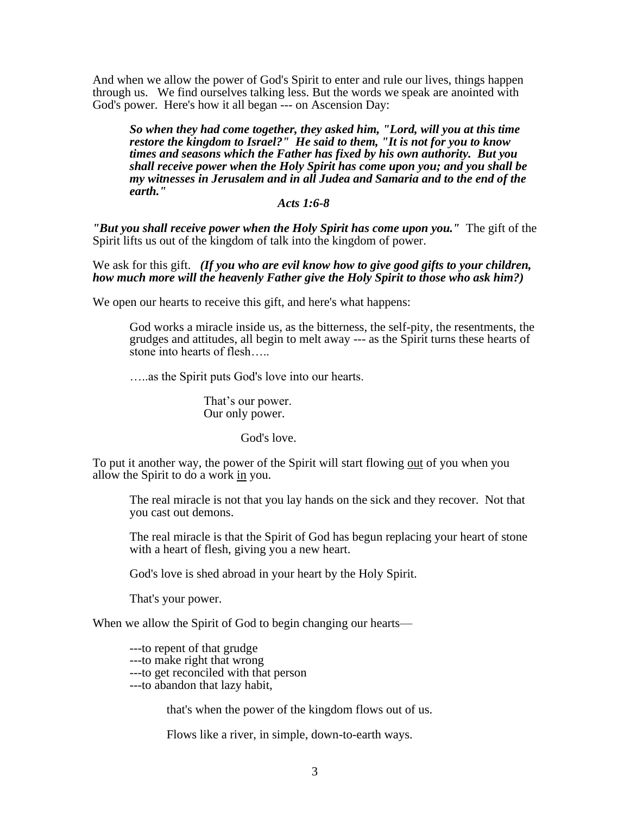And when we allow the power of God's Spirit to enter and rule our lives, things happen through us. We find ourselves talking less. But the words we speak are anointed with God's power. Here's how it all began --- on Ascension Day:

*So when they had come together, they asked him, "Lord, will you at this time restore the kingdom to Israel?" He said to them, "It is not for you to know times and seasons which the Father has fixed by his own authority. But you shall receive power when the Holy Spirit has come upon you; and you shall be my witnesses in Jerusalem and in all Judea and Samaria and to the end of the earth."*

# *Acts 1:6-8*

*"But you shall receive power when the Holy Spirit has come upon you."* The gift of the Spirit lifts us out of the kingdom of talk into the kingdom of power.

We ask for this gift. *(If you who are evil know how to give good gifts to your children, how much more will the heavenly Father give the Holy Spirit to those who ask him?)*

We open our hearts to receive this gift, and here's what happens:

God works a miracle inside us, as the bitterness, the self-pity, the resentments, the grudges and attitudes, all begin to melt away --- as the Spirit turns these hearts of stone into hearts of flesh…..

…..as the Spirit puts God's love into our hearts.

That's our power. Our only power.

## God's love.

To put it another way, the power of the Spirit will start flowing out of you when you allow the Spirit to do a work in you.

The real miracle is not that you lay hands on the sick and they recover. Not that you cast out demons.

The real miracle is that the Spirit of God has begun replacing your heart of stone with a heart of flesh, giving you a new heart.

God's love is shed abroad in your heart by the Holy Spirit.

That's your power.

When we allow the Spirit of God to begin changing our hearts—

---to repent of that grudge

---to make right that wrong

---to get reconciled with that person

---to abandon that lazy habit,

that's when the power of the kingdom flows out of us.

Flows like a river, in simple, down-to-earth ways.